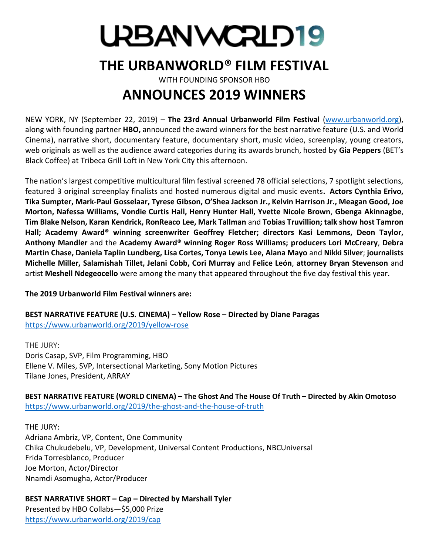# UPBANWCRLD19

# **THE URBANWORLD® FILM FESTIVAL**

WITH FOUNDING SPONSOR HBO

# **ANNOUNCES 2019 WINNERS**

NEW YORK, NY (September 22, 2019) – **The 23rd Annual Urbanworld Film Festival** [\(www.urbanworld.org\)](http://www.urbanworld.org/), along with founding partner **HBO,** announced the award winners for the best narrative feature (U.S. and World Cinema), narrative short, documentary feature, documentary short, music video, screenplay, young creators, web originals as well as the audience award categories during its awards brunch, hosted by **Gia Peppers** (BET's Black Coffee) at Tribeca Grill Loft in New York City this afternoon.

The nation's largest competitive multicultural film festival screened 78 official selections, 7 spotlight selections, featured 3 original screenplay finalists and hosted numerous digital and music events**. Actors Cynthia Erivo, Tika Sumpter, Mark-Paul Gosselaar, Tyrese Gibson, O'Shea Jackson Jr., Kelvin Harrison Jr., Meagan Good, Joe Morton, Nafessa Williams, Vondie Curtis Hall, Henry Hunter Hall, Yvette Nicole Brown**, **Gbenga Akinnagbe**, **Tim Blake Nelson, Karan Kendrick, RonReaco Lee, Mark Tallman** and **Tobias Truvillion; talk show host Tamron Hall; Academy Award® winning screenwriter Geoffrey Fletcher; directors Kasi Lemmons, Deon Taylor, Anthony Mandler** and the **Academy Award® winning Roger Ross Williams; producers Lori McCreary**, **Debra Martin Chase, Daniela Taplin Lundberg, Lisa Cortes, Tonya Lewis Lee, Alana Mayo** and **Nikki Silver**; **journalists Michelle Miller, Salamishah Tillet, Jelani Cobb, Cori Murray** and **Felice León**, **attorney Bryan Stevenson** and artist **Meshell Ndegeocello** were among the many that appeared throughout the five day festival this year.

### **The 2019 Urbanworld Film Festival winners are:**

**BEST NARRATIVE FEATURE (U.S. CINEMA) – Yellow Rose – Directed by Diane Paragas** <https://www.urbanworld.org/2019/yellow-rose>

THE JURY: Doris Casap, SVP, Film Programming, HBO Ellene V. Miles, SVP, Intersectional Marketing, Sony Motion Pictures Tilane Jones, President, ARRAY

**BEST NARRATIVE FEATURE (WORLD CINEMA) – The Ghost And The House Of Truth – Directed by Akin Omotoso** <https://www.urbanworld.org/2019/the-ghost-and-the-house-of-truth>

THE JURY: Adriana Ambriz, VP, Content, One Community Chika Chukudebelu, VP, Development, Universal Content Productions, NBCUniversal Frida Torresblanco, Producer Joe Morton, Actor/Director Nnamdi Asomugha, Actor/Producer

**BEST NARRATIVE SHORT – Cap – Directed by Marshall Tyler** Presented by HBO Collabs—\$5,000 Prize <https://www.urbanworld.org/2019/cap>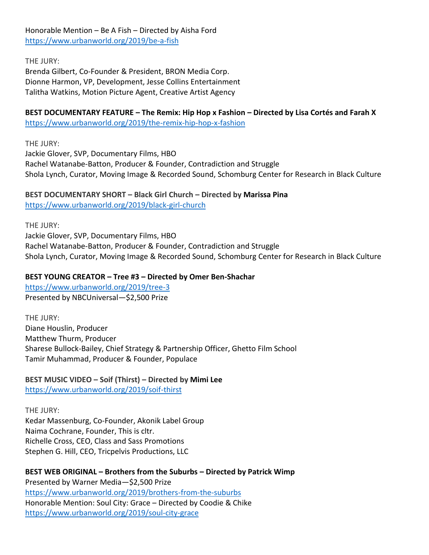Honorable Mention – Be A Fish – Directed by Aisha Ford <https://www.urbanworld.org/2019/be-a-fish>

THE JURY:

Brenda Gilbert, Co-Founder & President, BRON Media Corp. Dionne Harmon, VP, Development, Jesse Collins Entertainment Talitha Watkins, Motion Picture Agent, Creative Artist Agency

## **BEST DOCUMENTARY FEATURE – The Remix: Hip Hop x Fashion – Directed by Lisa Cortés and Farah X**

<https://www.urbanworld.org/2019/the-remix-hip-hop-x-fashion>

THE JURY:

Jackie Glover, SVP, Documentary Films, HBO Rachel Watanabe-Batton, Producer & Founder, Contradiction and Struggle Shola Lynch, Curator, Moving Image & Recorded Sound, Schomburg Center for Research in Black Culture

#### **BEST DOCUMENTARY SHORT – Black Girl Church – Directed by Marissa Pina** <https://www.urbanworld.org/2019/black-girl-church>

THE JURY: Jackie Glover, SVP, Documentary Films, HBO Rachel Watanabe-Batton, Producer & Founder, Contradiction and Struggle Shola Lynch, Curator, Moving Image & Recorded Sound, Schomburg Center for Research in Black Culture

## **BEST YOUNG CREATOR – Tree #3 – Directed by Omer Ben-Shachar**

<https://www.urbanworld.org/2019/tree-3> Presented by NBCUniversal—\$2,500 Prize

THE JURY: Diane Houslin, Producer Matthew Thurm, Producer Sharese Bullock-Bailey, Chief Strategy & Partnership Officer, Ghetto Film School Tamir Muhammad, Producer & Founder, Populace

**BEST MUSIC VIDEO – Soif (Thirst) – Directed by Mimi Lee** <https://www.urbanworld.org/2019/soif-thirst>

THE JURY: Kedar Massenburg, Co-Founder, Akonik Label Group Naima Cochrane, Founder, This is cltr. Richelle Cross, CEO, Class and Sass Promotions Stephen G. Hill, CEO, Tricpelvis Productions, LLC

**BEST WEB ORIGINAL – Brothers from the Suburbs – Directed by Patrick Wimp** Presented by Warner Media—\$2,500 Prize <https://www.urbanworld.org/2019/brothers-from-the-suburbs> Honorable Mention: Soul City: Grace – Directed by Coodie & Chike <https://www.urbanworld.org/2019/soul-city-grace>